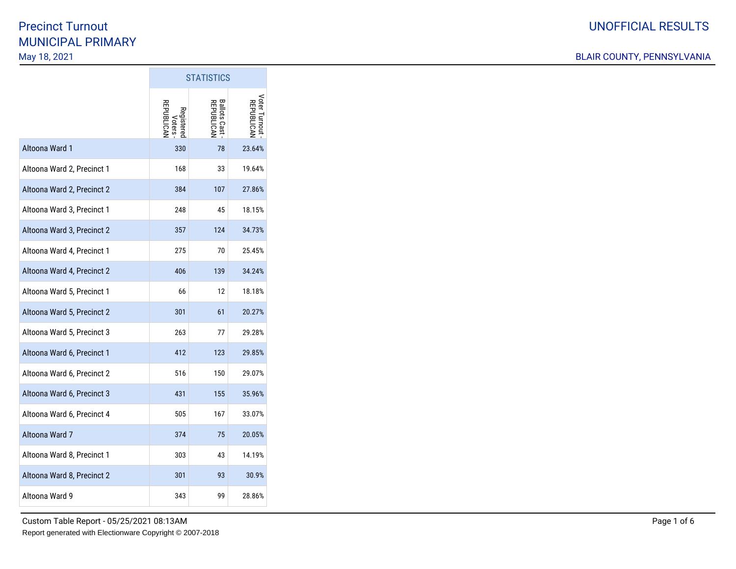|                            | <b>STATISTICS</b>           |                            |                             |
|----------------------------|-----------------------------|----------------------------|-----------------------------|
|                            | <b>REPUBLICAI</b><br>Voters | Ballots Cast<br>REPUBLICAN | Voter Turnout<br>REPUBLICAN |
| Altoona Ward 1             | 330                         | 78                         | 23.64%                      |
| Altoona Ward 2, Precinct 1 | 168                         | 33                         | 19.64%                      |
| Altoona Ward 2, Precinct 2 | 384                         | 107                        | 27.86%                      |
| Altoona Ward 3, Precinct 1 | 248                         | 45                         | 18.15%                      |
| Altoona Ward 3, Precinct 2 | 357                         | 124                        | 34.73%                      |
| Altoona Ward 4, Precinct 1 | 275                         | 70                         | 25.45%                      |
| Altoona Ward 4, Precinct 2 | 406                         | 139                        | 34.24%                      |
| Altoona Ward 5, Precinct 1 | 66                          | 12                         | 18.18%                      |
| Altoona Ward 5, Precinct 2 | 301                         | 61                         | 20.27%                      |
| Altoona Ward 5, Precinct 3 | 263                         | 77                         | 29.28%                      |
| Altoona Ward 6, Precinct 1 | 412                         | 123                        | 29.85%                      |
| Altoona Ward 6, Precinct 2 | 516                         | 150                        | 29.07%                      |
| Altoona Ward 6, Precinct 3 | 431                         | 155                        | 35.96%                      |
| Altoona Ward 6, Precinct 4 | 505                         | 167                        | 33.07%                      |
| Altoona Ward 7             | 374                         | 75                         | 20.05%                      |
| Altoona Ward 8, Precinct 1 | 303                         | 43                         | 14.19%                      |
| Altoona Ward 8, Precinct 2 | 301                         | 93                         | 30.9%                       |
| Altoona Ward 9             | 343                         | 99                         | 28.86%                      |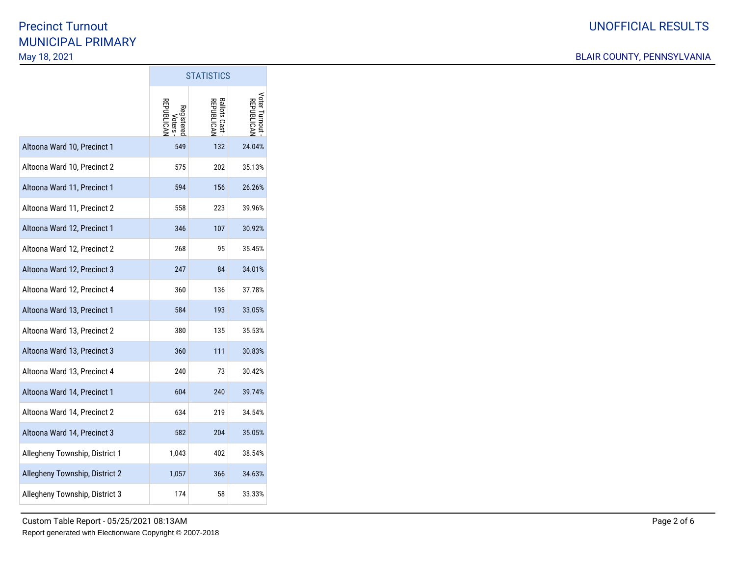|                                | <b>STATISTICS</b>                 |                                   |                                  |
|--------------------------------|-----------------------------------|-----------------------------------|----------------------------------|
|                                | Voters<br>REPUBLICAN<br>Registere | <b>Ballots Cast</b><br>REPUBLICAN | Voter Turnou<br><b>REPUBLICA</b> |
| Altoona Ward 10, Precinct 1    | 549                               | 132                               | 24.04%                           |
| Altoona Ward 10, Precinct 2    | 575                               | 202                               | 35.13%                           |
| Altoona Ward 11, Precinct 1    | 594                               | 156                               | 26.26%                           |
| Altoona Ward 11, Precinct 2    | 558                               | 223                               | 39.96%                           |
| Altoona Ward 12, Precinct 1    | 346                               | 107                               | 30.92%                           |
| Altoona Ward 12, Precinct 2    | 268                               | 95                                | 35.45%                           |
| Altoona Ward 12, Precinct 3    | 247                               | 84                                | 34.01%                           |
| Altoona Ward 12, Precinct 4    | 360                               | 136                               | 37.78%                           |
| Altoona Ward 13, Precinct 1    | 584                               | 193                               | 33.05%                           |
| Altoona Ward 13, Precinct 2    | 380                               | 135                               | 35.53%                           |
| Altoona Ward 13, Precinct 3    | 360                               | 111                               | 30.83%                           |
| Altoona Ward 13, Precinct 4    | 240                               | 73                                | 30.42%                           |
| Altoona Ward 14, Precinct 1    | 604                               | 240                               | 39.74%                           |
| Altoona Ward 14, Precinct 2    | 634                               | 219                               | 34.54%                           |
| Altoona Ward 14, Precinct 3    | 582                               | 204                               | 35.05%                           |
| Allegheny Township, District 1 | 1,043                             | 402                               | 38.54%                           |
| Allegheny Township, District 2 | 1,057                             | 366                               | 34.63%                           |
| Allegheny Township, District 3 | 174                               | 58                                | 33.33%                           |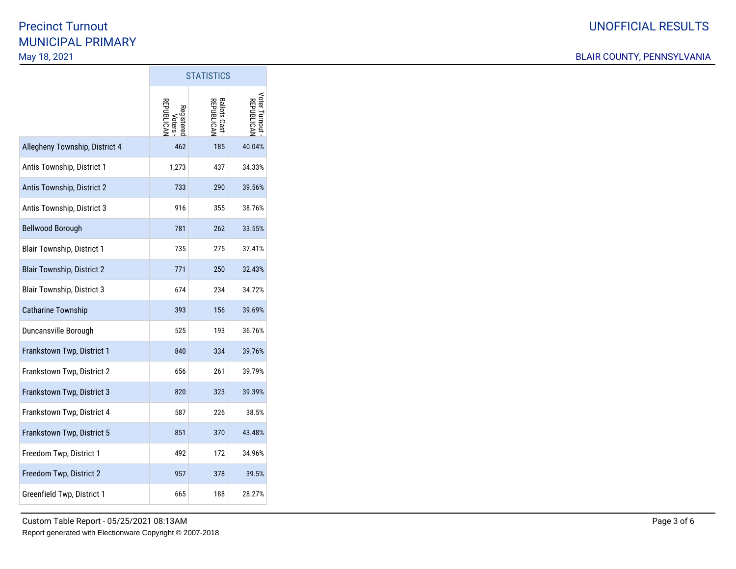|                                   | <b>STATISTICS</b>                 |                              |                             |
|-----------------------------------|-----------------------------------|------------------------------|-----------------------------|
|                                   | Voters<br>REPUBLICAN<br>Registere | Ballots Cast -<br>REPUBLICAN | Voter Turnout<br>REPUBLICAN |
| Allegheny Township, District 4    | 462                               | 185                          | 40.04%                      |
| Antis Township, District 1        | 1,273                             | 437                          | 34.33%                      |
| Antis Township, District 2        | 733                               | 290                          | 39.56%                      |
| Antis Township, District 3        | 916                               | 355                          | 38.76%                      |
| <b>Bellwood Borough</b>           | 781                               | 262                          | 33.55%                      |
| <b>Blair Township, District 1</b> | 735                               | 275                          | 37.41%                      |
| <b>Blair Township, District 2</b> | 771                               | 250                          | 32.43%                      |
| <b>Blair Township, District 3</b> | 674                               | 234                          | 34.72%                      |
| <b>Catharine Township</b>         | 393                               | 156                          | 39.69%                      |
| Duncansville Borough              | 525                               | 193                          | 36.76%                      |
| Frankstown Twp, District 1        | 840                               | 334                          | 39.76%                      |
| Frankstown Twp, District 2        | 656                               | 261                          | 39.79%                      |
| Frankstown Twp, District 3        | 820                               | 323                          | 39.39%                      |
| Frankstown Twp, District 4        | 587                               | 226                          | 38.5%                       |
| Frankstown Twp, District 5        | 851                               | 370                          | 43.48%                      |
| Freedom Twp, District 1           | 492                               | 172                          | 34.96%                      |
| Freedom Twp, District 2           | 957                               | 378                          | 39.5%                       |
| Greenfield Twp, District 1        | 665                               | 188                          | 28.27%                      |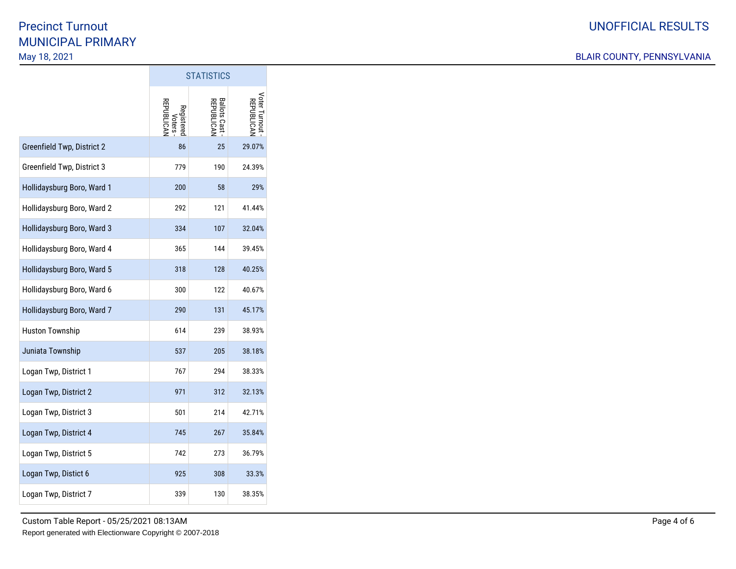|                            | <b>STATISTICS</b>                 |                                   |                             |
|----------------------------|-----------------------------------|-----------------------------------|-----------------------------|
|                            | Voters<br>REPUBLICAN<br>Registere | <b>Ballots Cast</b><br>REPUBLICAN | Voter Turnout<br>REPUBLICAN |
| Greenfield Twp, District 2 | 86                                | 25                                | 29.07%                      |
| Greenfield Twp, District 3 | 779                               | 190                               | 24.39%                      |
| Hollidaysburg Boro, Ward 1 | 200                               | 58                                | 29%                         |
| Hollidaysburg Boro, Ward 2 | 292                               | 121                               | 41.44%                      |
| Hollidaysburg Boro, Ward 3 | 334                               | 107                               | 32.04%                      |
| Hollidaysburg Boro, Ward 4 | 365                               | 144                               | 39.45%                      |
| Hollidaysburg Boro, Ward 5 | 318                               | 128                               | 40.25%                      |
| Hollidaysburg Boro, Ward 6 | 300                               | 122                               | 40.67%                      |
| Hollidaysburg Boro, Ward 7 | 290                               | 131                               | 45.17%                      |
| <b>Huston Township</b>     | 614                               | 239                               | 38.93%                      |
| Juniata Township           | 537                               | 205                               | 38.18%                      |
| Logan Twp, District 1      | 767                               | 294                               | 38.33%                      |
| Logan Twp, District 2      | 971                               | 312                               | 32.13%                      |
| Logan Twp, District 3      | 501                               | 214                               | 42.71%                      |
| Logan Twp, District 4      | 745                               | 267                               | 35.84%                      |
| Logan Twp, District 5      | 742                               | 273                               | 36.79%                      |
| Logan Twp, Distict 6       | 925                               | 308                               | 33.3%                       |
| Logan Twp, District 7      | 339                               | 130                               | 38.35%                      |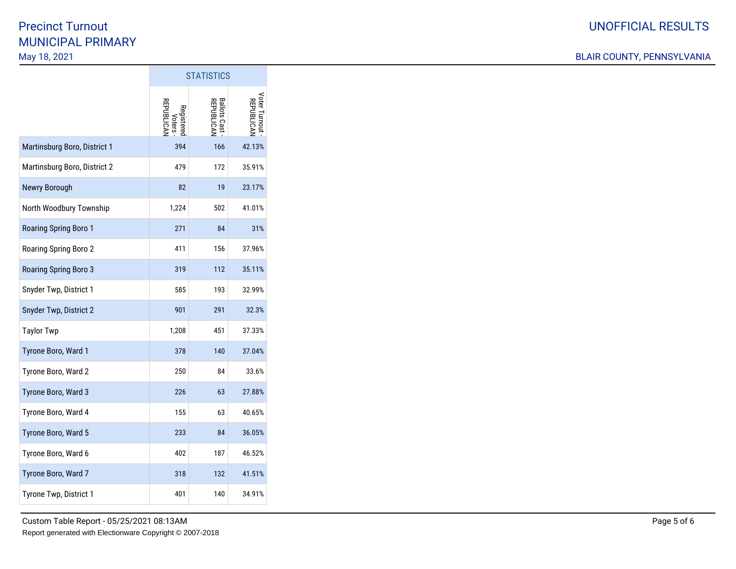|                              | <b>STATISTICS</b>                 |                                   |                             |
|------------------------------|-----------------------------------|-----------------------------------|-----------------------------|
|                              | Voters<br>REPUBLICAN<br>Registere | <b>Ballots Cast</b><br>REPUBLICAN | Voter Turnout<br>REPUBLICAN |
| Martinsburg Boro, District 1 | 394                               | 166                               | 42.13%                      |
| Martinsburg Boro, District 2 | 479                               | 172                               | 35.91%                      |
| Newry Borough                | 82                                | 19                                | 23.17%                      |
| North Woodbury Township      | 1,224                             | 502                               | 41.01%                      |
| Roaring Spring Boro 1        | 271                               | 84                                | 31%                         |
| Roaring Spring Boro 2        | 411                               | 156                               | 37.96%                      |
| Roaring Spring Boro 3        | 319                               | 112                               | 35.11%                      |
| Snyder Twp, District 1       | 585                               | 193                               | 32.99%                      |
| Snyder Twp, District 2       | 901                               | 291                               | 32.3%                       |
| <b>Taylor Twp</b>            | 1,208                             | 451                               | 37.33%                      |
| Tyrone Boro, Ward 1          | 378                               | 140                               | 37.04%                      |
| Tyrone Boro, Ward 2          | 250                               | 84                                | 33.6%                       |
| Tyrone Boro, Ward 3          | 226                               | 63                                | 27.88%                      |
| Tyrone Boro, Ward 4          | 155                               | 63                                | 40.65%                      |
| Tyrone Boro, Ward 5          | 233                               | 84                                | 36.05%                      |
| Tyrone Boro, Ward 6          | 402                               | 187                               | 46.52%                      |
| Tyrone Boro, Ward 7          | 318                               | 132                               | 41.51%                      |
| Tyrone Twp, District 1       | 401                               | 140                               | 34.91%                      |